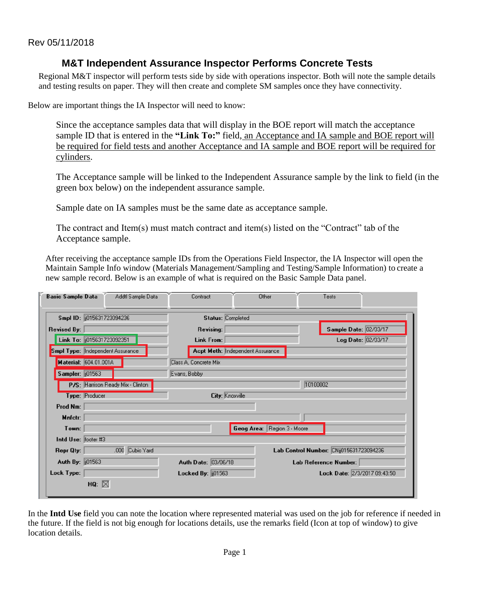## **M&T Independent Assurance Inspector Performs Concrete Tests**

Regional M&T inspector will perform tests side by side with operations inspector. Both will note the sample details and testing results on paper. They will then create and complete SM samples once they have connectivity.

Below are important things the IA Inspector will need to know:

Since the acceptance samples data that will display in the BOE report will match the acceptance sample ID that is entered in the "Link To:" field, an Acceptance and IA sample and BOE report will be required for field tests and another Acceptance and IA sample and BOE report will be required for cylinders.

The Acceptance sample will be linked to the Independent Assurance sample by the link to field (in the green box below) on the independent assurance sample.

Sample date on IA samples must be the same date as acceptance sample.

The contract and Item(s) must match contract and item(s) listed on the "Contract" tab of the Acceptance sample.

After receiving the acceptance sample IDs from the Operations Field Inspector, the IA Inspector will open the Maintain Sample Info window (Materials Management/Sampling and Testing/Sample Information) to create a new sample record. Below is an example of what is required on the Basic Sample Data panel.

| <b>Basic Sample Data</b>         | Addtl Sample Data                 | Contract                       | Other                            | Tests                                   |                    |  |
|----------------------------------|-----------------------------------|--------------------------------|----------------------------------|-----------------------------------------|--------------------|--|
| Smpl ID:   015631723094236       |                                   | Status: Completed              |                                  |                                         |                    |  |
| <b>Revised By:</b>               |                                   | Revising:                      |                                  | Sample Date: 02/03/17                   |                    |  |
| Link To: 0015631723092351        |                                   | <b>Link From:</b>              |                                  |                                         | Log Date: 02/03/17 |  |
| Smpl Type: Independent Assurance |                                   |                                | Acpt Meth: Independent Assurance |                                         |                    |  |
| Material: 604.01.001A            |                                   | Class A, Concrete Mix          |                                  |                                         |                    |  |
| Sampler: 101563                  |                                   | Evans, Bobby                   |                                  |                                         |                    |  |
|                                  | P/S: Harrison Ready Mix - Clinton |                                |                                  | 10100002                                |                    |  |
| Type: Producer                   |                                   | City: Knoxville                |                                  |                                         |                    |  |
| Prod Nm:                         |                                   |                                |                                  |                                         |                    |  |
| Mnfctr:                          |                                   |                                |                                  |                                         |                    |  |
| Town:                            |                                   |                                | Geog Area: Region 3 - Moore      |                                         |                    |  |
| Intd Use: footer #3              |                                   |                                |                                  |                                         |                    |  |
| Repr Qty:                        | .000 Cubic Yard                   |                                |                                  | Lab Control Number: CNij015631723094236 |                    |  |
| Auth By: [101563]                |                                   | Auth Date: 03/06/18            |                                  | Lab Reference Number:                   |                    |  |
| Lock Type:                       |                                   | Locked By: $\frac{1}{10}01563$ |                                  | Lock Date: 2/3/2017 09:43:50            |                    |  |
| HQ: $\boxtimes$                  |                                   |                                |                                  |                                         |                    |  |

In the **Intd Use** field you can note the location where represented material was used on the job for reference if needed in the future. If the field is not big enough for locations details, use the remarks field (Icon at top of window) to give location details.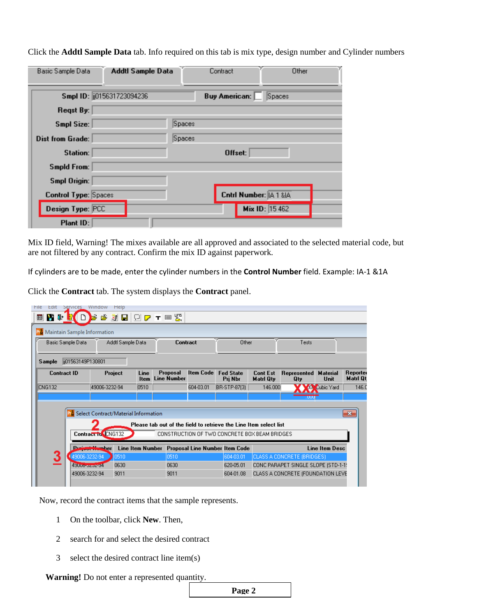| Basic Sample Data           | Addtl Sample Data          |        | Contract                       | Other |
|-----------------------------|----------------------------|--------|--------------------------------|-------|
|                             | Smpl ID: (015631723094236) |        | Spaces<br><b>Buy American:</b> |       |
| Regst By:                   |                            |        |                                |       |
| Smpl Size:                  |                            | Spaces |                                |       |
| Dist from Grade:            |                            | Spaces |                                |       |
| Station:                    |                            |        | Offset:                        |       |
| <b>Smpld From:</b>          |                            |        |                                |       |
| Smpl Origin:                |                            |        |                                |       |
| <b>Control Type: Spaces</b> |                            |        | Cntrl Number: [A 1 & A         |       |
| Design Type: PCC            |                            |        | Mix ID: 15 462                 |       |
| Plant ID:                   |                            |        |                                |       |

Click the **Addtl Sample Data** tab. Info required on this tab is mix type, design number and Cylinder numbers

Mix ID field, Warning! The mixes available are all approved and associated to the selected material code, but are not filtered by any contract. Confirm the mix ID against paperwork.

If cylinders are to be made, enter the cylinder numbers in the **Control Number** field. Example: IA-1 &1A

Click the **Contract** tab. The system displays the **Contract** panel.

| File<br>Edit           | Window<br>Help<br>Services  |                                      |                   |                     |                                |                  |                                                                   |                                     |                                     |                            |                     |
|------------------------|-----------------------------|--------------------------------------|-------------------|---------------------|--------------------------------|------------------|-------------------------------------------------------------------|-------------------------------------|-------------------------------------|----------------------------|---------------------|
| <b>VI</b> the spa<br>團 |                             | ê<br>Е                               |                   |                     | <b>SEQPTES</b>                 |                  |                                                                   |                                     |                                     |                            |                     |
|                        | Maintain Sample Information |                                      |                   |                     |                                |                  |                                                                   |                                     |                                     |                            |                     |
|                        | Basic Sample Data           |                                      | Addtl Sample Data |                     | <b>Contract</b>                |                  | Other                                                             |                                     | Tests                               |                            |                     |
| Sample                 | ii01563149P130801           |                                      |                   |                     |                                |                  |                                                                   |                                     |                                     |                            |                     |
|                        | <b>Contract ID</b>          |                                      | Project           | Line<br><b>Item</b> | Proposal<br><b>Line Number</b> | <b>Item Code</b> | <b>Fed State</b><br>Pri Nbr                                       | <b>Cont Est</b><br><b>Matri Qty</b> | Represented<br>Qty                  | <b>Material</b><br>Unit    | Reporte<br>Matri Qt |
| <b>CNG132</b>          |                             | 49006-3232-94                        |                   | 0510                |                                | 604-03.01        | BR-STP-87(3)                                                      | 146.000                             |                                     | 10 <sup>%</sup> Cubic Yard | 146.0               |
|                        |                             |                                      |                   |                     |                                |                  |                                                                   |                                     | ,uuu                                |                            |                     |
|                        |                             |                                      |                   |                     |                                |                  |                                                                   |                                     |                                     |                            |                     |
|                        |                             | Select Contract/Material Information |                   |                     |                                |                  |                                                                   |                                     |                                     |                            | $-23$               |
|                        |                             |                                      |                   |                     |                                |                  | Please tab out of the field to retrieve the Line Item select list |                                     |                                     |                            |                     |
|                        |                             | Contract to CNG132                   |                   |                     |                                |                  | CONSTRUCTION OF TWO CONCRETE BOX BEAM BRIDGES                     |                                     |                                     |                            |                     |
|                        |                             | <b>COMMERCIAL COMMERCIAL</b>         |                   |                     |                                |                  | Line Item Number Proposal Line Number Item Code                   |                                     |                                     | Line Item Desc             |                     |
| 3                      | 49006-3232-94               |                                      | 0510              |                     | 0510                           |                  | 604-03.01                                                         |                                     | (CLASS A CONCRETE (BRIDGES)         |                            |                     |
|                        | 49000 concept 4             |                                      | 0630              |                     | 0630                           |                  | 620-05.01                                                         |                                     | CONC PARAPET SINGLE SLOPE (STD-1-1) |                            |                     |
|                        | 49006-3232-94               |                                      | 9011              |                     | 9011                           |                  | 604-01.08                                                         |                                     | CLASS A CONCRETE (FOUNDATION LEVE   |                            |                     |
|                        |                             |                                      |                   |                     |                                |                  |                                                                   |                                     |                                     |                            |                     |

Now, record the contract items that the sample represents.

- 1 On the toolbar, click **New**. Then,
- 2 search for and select the desired contract
- 3 select the desired contract line item(s)

**Warning!** Do not enter a represented quantity.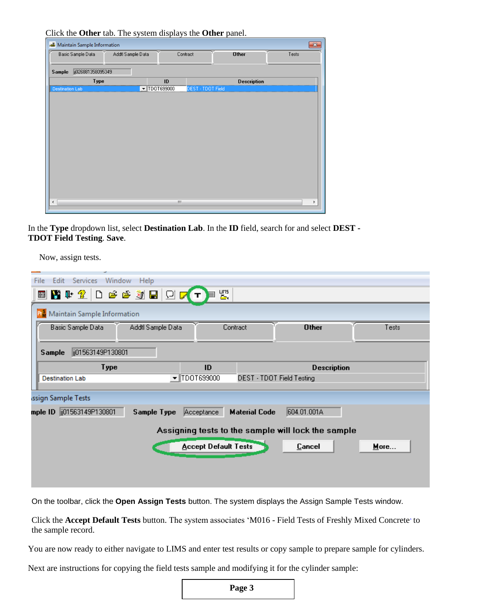Click the **Other** tab. The system displays the **Other** panel.

| Maintain Sample Information<br>$\mathbf{x}$<br>ڪر |                       |                          |                    |       |  |  |
|---------------------------------------------------|-----------------------|--------------------------|--------------------|-------|--|--|
| Basic Sample Data                                 | Addtl Sample Data     | Contract                 | <b>Other</b>       | Tests |  |  |
| jj026881358095349<br>Sample                       |                       |                          |                    |       |  |  |
| Type                                              |                       | ID                       | <b>Description</b> |       |  |  |
| <b>Destination Lab</b>                            | $\text{-}$ TDOT699000 | <b>DEST - TDOT Field</b> |                    |       |  |  |
|                                                   |                       |                          |                    |       |  |  |
|                                                   |                       |                          |                    |       |  |  |
|                                                   |                       |                          |                    |       |  |  |
|                                                   |                       |                          |                    |       |  |  |
|                                                   |                       |                          |                    |       |  |  |
|                                                   |                       |                          |                    |       |  |  |
|                                                   |                       |                          |                    |       |  |  |
|                                                   |                       |                          |                    |       |  |  |
|                                                   |                       |                          |                    |       |  |  |
|                                                   |                       |                          |                    |       |  |  |
|                                                   |                       |                          |                    |       |  |  |
|                                                   |                       |                          |                    |       |  |  |
| $\leftarrow$                                      |                       | Ш                        |                    | ٠     |  |  |
|                                                   |                       |                          |                    |       |  |  |

In the **Type** dropdown list, select **Destination Lab**. In the **ID** field, search for and select **DEST - TDOT Field Testing**. **Save**.

Now, assign tests.

| Window<br>File<br>Edit<br>Services<br>Help |                                 |                           |                    |       |  |  |  |
|--------------------------------------------|---------------------------------|---------------------------|--------------------|-------|--|--|--|
| ■ 【 】 ① 2 2 3 3 8 2 2 2 1<br>围             | 圈.                              |                           |                    |       |  |  |  |
| Maintain Sample Information                |                                 |                           |                    |       |  |  |  |
| Addtl Sample Data<br>Basic Sample Data     | Contract                        |                           | <b>Other</b>       | Tests |  |  |  |
| ji01563149P130801<br><b>Sample</b>         |                                 |                           |                    |       |  |  |  |
| Type                                       | ID                              |                           | <b>Description</b> |       |  |  |  |
| <b>Destination Lab</b>                     | $\blacktriangledown$ TDOT699000 | DEST - TDOT Field Testing |                    |       |  |  |  |
| ssign Sample Tests                         |                                 |                           |                    |       |  |  |  |
|                                            |                                 |                           |                    |       |  |  |  |
| mple ID 01563149P130801<br>Sample Type     | Acceptance                      | <b>Material Code</b>      | 604.01.001A        |       |  |  |  |

On the toolbar, click the **Open Assign Tests** button. The system displays the Assign Sample Tests window.

Click the **Accept Default Tests** button. The system associates 'M016 - Field Tests of Freshly Mixed Concrete' to the sample record.

You are now ready to either navigate to LIMS and enter test results or copy sample to prepare sample for cylinders.

Next are instructions for copying the field tests sample and modifying it for the cylinder sample: